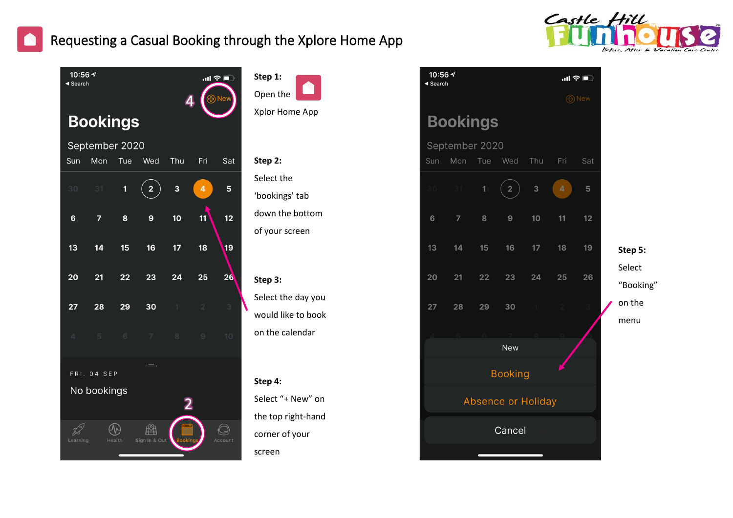



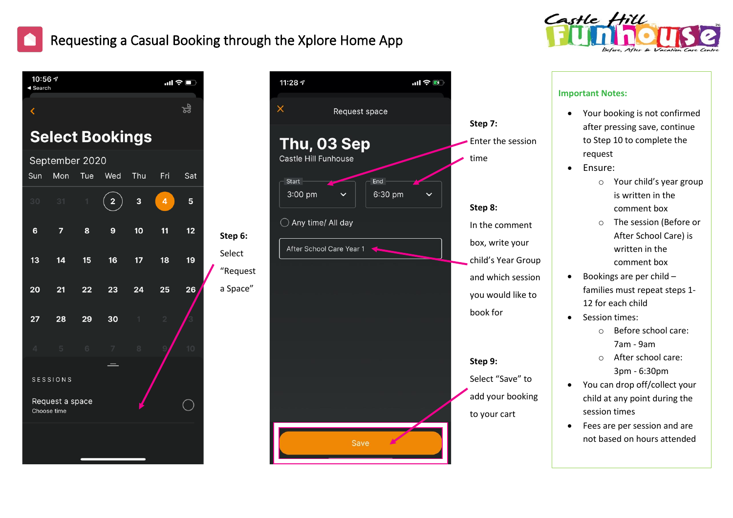





#### Enter the session In the comment box, write your child's Year Group and which session you would like to book for Select "Save" to add your booking to your cart **Important Notes:** • Your booking is not confirmed after pressing save, continue to Step 10 to complete the request • Ensure: o Your child's year group is written in the comment box o The session (Before or After School Care) is written in the comment box • Bookings are per child – families must repeat steps 1- 12 for each child • Session times: o Before school care: 7am - 9am o After school care: 3pm - 6:30pm • You can drop off/collect your child at any point during the session times • Fees are per session and are not based on hours attended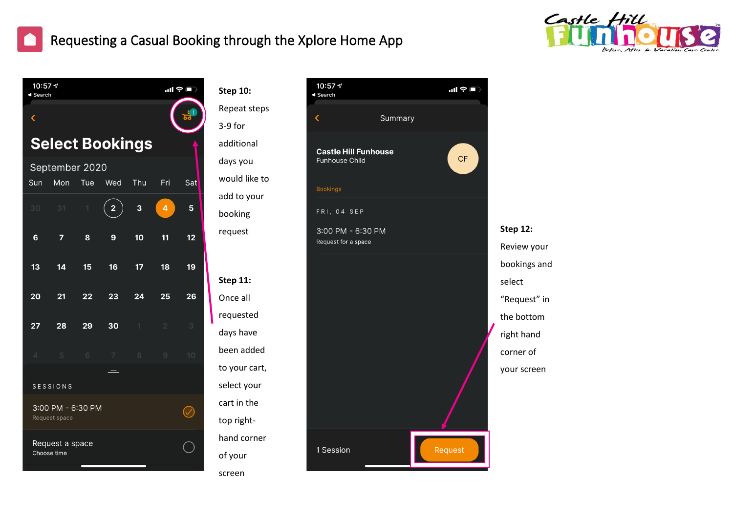



| 10:57 $\mathcal{A}$<br>◀ Search                                         |         | $\blacksquare$ |                                                      |
|-------------------------------------------------------------------------|---------|----------------|------------------------------------------------------|
| ∢                                                                       | Summary |                |                                                      |
| <b>Castle Hill Funhouse</b><br><b>Funhouse Child</b><br><b>Bookings</b> |         | CF             |                                                      |
| FRI, 04 SEP                                                             |         |                |                                                      |
| 3:00 PM - 6:30 PM<br>Request for a space                                |         |                | <b>Step 12:</b><br>Review your                       |
|                                                                         |         |                | bookings and<br>select<br>"Request" in<br>the bottom |
|                                                                         |         |                | right hand<br>corner of<br>your screen               |
| 1 Session                                                               |         | Request        |                                                      |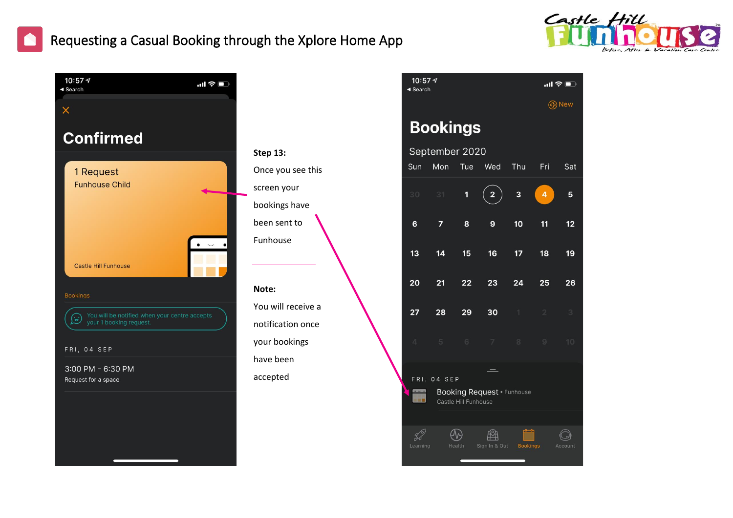



|                | $\mathsf B$ |
|----------------|-------------|
| 13:            | Se          |
| e you see this | Sun         |
| en your        | 30          |
| cings have     |             |
| sent to        | 6           |
| าouse          |             |
|                | 13          |
| 9:             | 20          |
| will receive a |             |
|                | 27          |
| fication once  |             |
| bookings       |             |
| been           |             |
| pted           | FR          |
|                |             |
|                |             |

| ◀ Search                                                  |     |              |               |                 |                |         |  |  |  |  |
|-----------------------------------------------------------|-----|--------------|---------------|-----------------|----------------|---------|--|--|--|--|
| <b>④</b> New                                              |     |              |               |                 |                |         |  |  |  |  |
| <b>Bookings</b>                                           |     |              |               |                 |                |         |  |  |  |  |
| September 2020                                            |     |              |               |                 |                |         |  |  |  |  |
| Sun                                                       | Mon | Tue          | Wed           | Thu             | Fri            | Sat     |  |  |  |  |
| 30                                                        | 31  | $\mathbf{1}$ | 2             | 3               | 4              | 5       |  |  |  |  |
| 6                                                         | 7   | 8            | 9             | 10              | 11             | 12      |  |  |  |  |
| 13                                                        | 14  | 15           | 16            | 17              | 18             | 19      |  |  |  |  |
| 20                                                        | 21  | 22           | 23            | 24              | 25             | 26      |  |  |  |  |
| $\overline{27}$                                           | 28  | 29           | 30            | 1               | $\overline{2}$ | 3       |  |  |  |  |
| $\Delta$                                                  | 5   | $\sqrt{6}$   | 7             | 8               | 9              | 10      |  |  |  |  |
| FRI. 04 SEP                                               |     |              |               |                 |                |         |  |  |  |  |
| <b>Booking Request · Funhouse</b><br>Castle Hill Funhouse |     |              |               |                 |                |         |  |  |  |  |
|                                                           |     |              |               |                 |                |         |  |  |  |  |
| Learning                                                  |     | Health       | Sign In & Out | <b>Bookings</b> |                | Account |  |  |  |  |
|                                                           |     |              |               |                 |                |         |  |  |  |  |

10:57 $\sim$